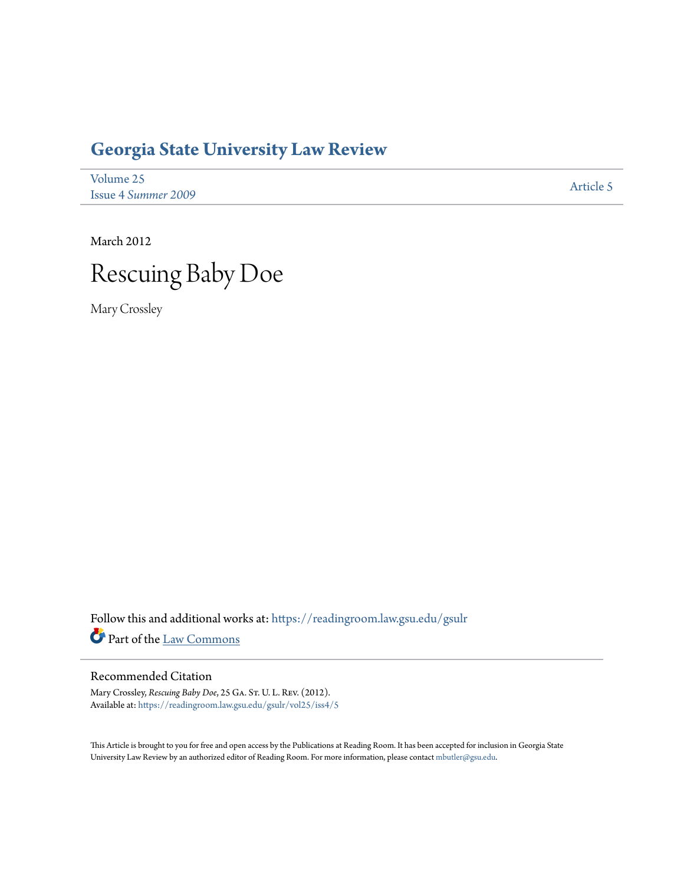# **[Georgia State University Law Review](https://readingroom.law.gsu.edu/gsulr?utm_source=readingroom.law.gsu.edu%2Fgsulr%2Fvol25%2Fiss4%2F5&utm_medium=PDF&utm_campaign=PDFCoverPages)**

| Volume 25                  | Article 5 |
|----------------------------|-----------|
| <b>Issue 4 Summer 2009</b> |           |

March 2012



Mary Crossley

Follow this and additional works at: [https://readingroom.law.gsu.edu/gsulr](https://readingroom.law.gsu.edu/gsulr?utm_source=readingroom.law.gsu.edu%2Fgsulr%2Fvol25%2Fiss4%2F5&utm_medium=PDF&utm_campaign=PDFCoverPages) Part of the [Law Commons](http://network.bepress.com/hgg/discipline/578?utm_source=readingroom.law.gsu.edu%2Fgsulr%2Fvol25%2Fiss4%2F5&utm_medium=PDF&utm_campaign=PDFCoverPages)

## Recommended Citation

Mary Crossley, *Rescuing Baby Doe*, 25 Ga. St. U. L. Rev. (2012). Available at: [https://readingroom.law.gsu.edu/gsulr/vol25/iss4/5](https://readingroom.law.gsu.edu/gsulr/vol25/iss4/5?utm_source=readingroom.law.gsu.edu%2Fgsulr%2Fvol25%2Fiss4%2F5&utm_medium=PDF&utm_campaign=PDFCoverPages)

This Article is brought to you for free and open access by the Publications at Reading Room. It has been accepted for inclusion in Georgia State University Law Review by an authorized editor of Reading Room. For more information, please contact [mbutler@gsu.edu.](mailto:mbutler@gsu.edu)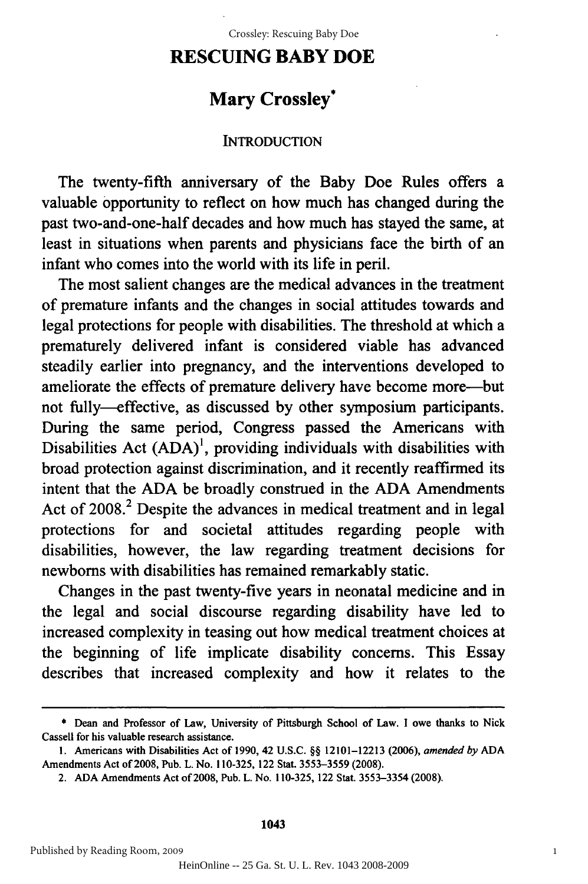# **RESCUING BABY DOE RESCUING BABY DOE**

# **Mary Crossley\* Mary Crossley·**

#### INTRODUCTION INTRODUCTION

The twenty-fifth anniversary of the Baby Doe Rules offers a The twenty-fifth anniversary of the Baby Doe Rules offers a valuable opportunity to reflect on how much has changed during the past two-and-one-half decades and how much has stayed the same, at past two-and-one-half decades and how much has stayed the same, at least in situations when parents and physicians face the birth of an least in situations parents and physicians face the birth of an infant who comes into the world with its life in peril. infant who comes the world with its life in peril.

The most salient changes are the medical advances in the treatment of premature infants and the changes in social attitudes towards and legal protections for people with disabilities. The threshold at which a legal protections for people with disabilities. The threshold at which a prematurely delivered infant is considered viable has advanced prematurely delivered infant is considered viable has advanced steadily earlier into pregnancy, and the interventions developed to steadily earlier into pregnancy, and the interventions developed to ameliorate the effects of premature delivery have become more-but ameliorate the effects of premature delivery have become more-but not fully-effective, as discussed by other symposium participants. fully-effective, as discussed by other symposium participants. During the same period, Congress passed the Americans with Disabilities Act  $(ADA)^1$ , providing individuals with disabilities with broad protection against discrimination, and it recently reaffirmed its protection against discrimination, and it recently reaffirmed its intent that the ADA be broadly construed in the ADA Amendments Act of 2008. $^{2}$  Despite the advances in medical treatment and in legal protections for and societal attitudes regarding people with protections for and societal attitudes regarding people with disabilities, however, the law regarding treatment decisions for disabilities, law regarding treatment decisions for newborns with disabilities has remained remarkably static. newborns with disabilities has remained remarkably static.

Changes in the past twenty-five years in neonatal medicine and in the legal and social discourse regarding disability have led to increased complexity in teasing out how medical treatment choices at increased complexity in teasing out how medical treatment choices at the beginning of life implicate disability concerns. This Essay beginning of life implicate disability concerns. This Essay describes that increased complexity and how it relates to the describes increased complexity and how it relates to the

1043

**<sup>\*</sup>** Dean and Professor of Law, University of Pittsburgh School of Law. I owe thanks to Nick • Dean and Professor of Law, University of Pittsburgh School of Law. lowe thanks to Nick Cassell for his valuable research assistance. Cassell for his valuable research assistance.

<sup>1.</sup> Americans with Disabilities Act of 1990, 42 U.S.C. §§ 12101-12213 (2006), amended by ADA Amendments Act of **2008,** Pub. L. No. **110-325,** 122 Stat. **3553-3559 (2008).** Amendments Act of 2008, Pub. 1. No. 110-325, 122 Stat. 3553-3559 (2008).

<sup>2.</sup> ADA Amendments Act of 2008, Pub. L. No. 110-325, 122 Stat. 3553-3354 (2008).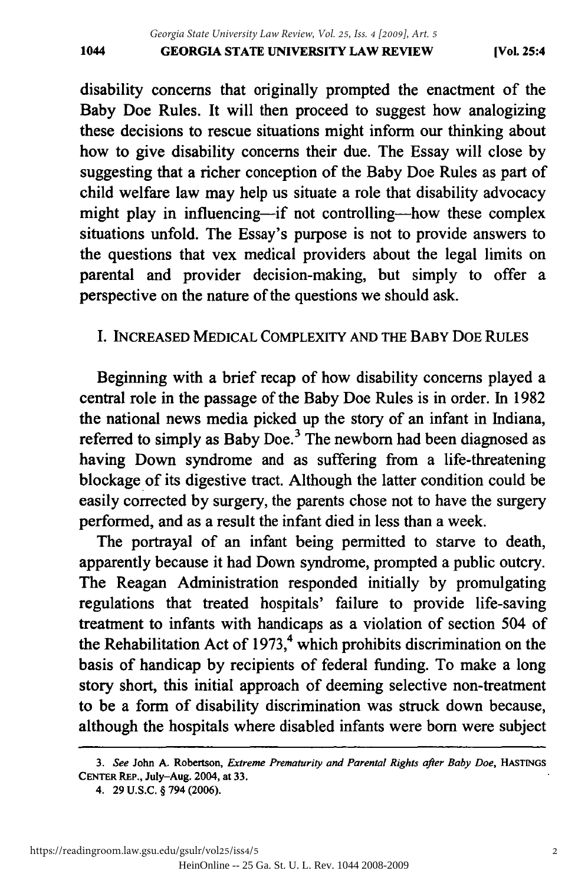disability concerns that originally prompted the enactment of the disability concerns that originally prompted the enactment of the Baby Doe Rules. It will then proceed to suggest how analogizing Baby Doe Rules. It will then proceed to suggest how analogizing these decisions to rescue situations might inform our thinking about these decisions to rescue situations might inform our thinking about how to give disability concerns their due. The Essay will close by how to give disability concerns their due. The Essay will close by suggesting that a richer conception of the Baby Doe Rules as part of suggesting that a richer conception of the Baby Doe Rules as part of child welfare law may help us situate a role that disability advocacy child welfare law may help us situate a role that disability advocacy might play in influencing-if not controlling-how these complex situations unfold. The Essay's purpose is not to provide answers to situations unfold. The Essay's purpose is not to provide answers to the questions that vex medical providers about the legal limits on the questions that vex medical providers about the legal limits on parental and provider decision-making, but simply to offer a parental and provider decision-making, but simply to offer a perspective on the nature of the questions we should ask. perspective on the nature of the questions we should ask.

# I. **INCREASED MEDICAL** COMPLEXITY **AND** THE BABY **DOE** RULES I. INCREASED MEDICAL COMPLEXITY AND THE BABY DOE RULES

Beginning with a brief recap of how disability concerns played a Beginning with a brief recap of how disability concerns played a central role in the passage of the Baby Doe Rules is in order. In 1982 central role in the passage of the Baby Doe Rules is in order. In 1982 the national news media picked up the story of an infant in Indiana, the national news media picked up the story of an infant in Indiana, referred to simply as Baby Doe.<sup>3</sup> The newborn had been diagnosed as having Down syndrome and as suffering from a life-threatening having Down syndrome and as suffering from a life-threatening blockage of its digestive tract. Although the latter condition could be blockage. of its digestive tract. Although the latter condition could be easily corrected by surgery, the parents chose not to have the surgery easily corrected by surgery, the parents chose not to have the surgery performed, and as a result the infant died in less than a week. performed, and as a result the infant died in less than a week.

The portrayal of an infant being permitted to starve to death, The portrayal of an infant being permitted to starve to death, apparently because it had Down syndrome, prompted a public outcry. apparently because it had Down syndrome, prompted a public outcry. The Reagan Administration responded initially by promulgating The Reagan Administration responded initially by promulgating regulations that treated hospitals' failure to provide life-saving regulations that treated hospitals' failure to provide life-saving treatment to infants with handicaps as a violation of section 504 of treatment to infants with handicaps as a violation of section 504 of the Rehabilitation Act of 1973,<sup>4</sup> which prohibits discrimination on the basis of handicap by recipients of federal funding. To make a long basis of handicap by recipients of federal funding. To make a long story short, this initial approach of deeming selective non-treatment story short, this initial approach of deeming selective non-treatment to be a form of disability discrimination was struck down because, to be a form of disability discrimination was struck down because, although the hospitals where disabled infants were born were subject although the hospitals where disabled infants were born were subject

*<sup>3.</sup>* See John **A.** Robertson, Extreme Prematurity and Parental *Rights after Baby Doe,* **HASTINGS** *3. See* John A. Robertson, *Extreme Prematurity and Parental Rights after Baby Doe,* HASTINGS **CENTER REP.,** July-Aug. 2004, at **33.** CENTER REp., July-Aug. 2004, at 33.

**<sup>4. 29</sup> U.S.C. §** 794 **(2006).** 4. 29 U.S.C. § 794 (2006).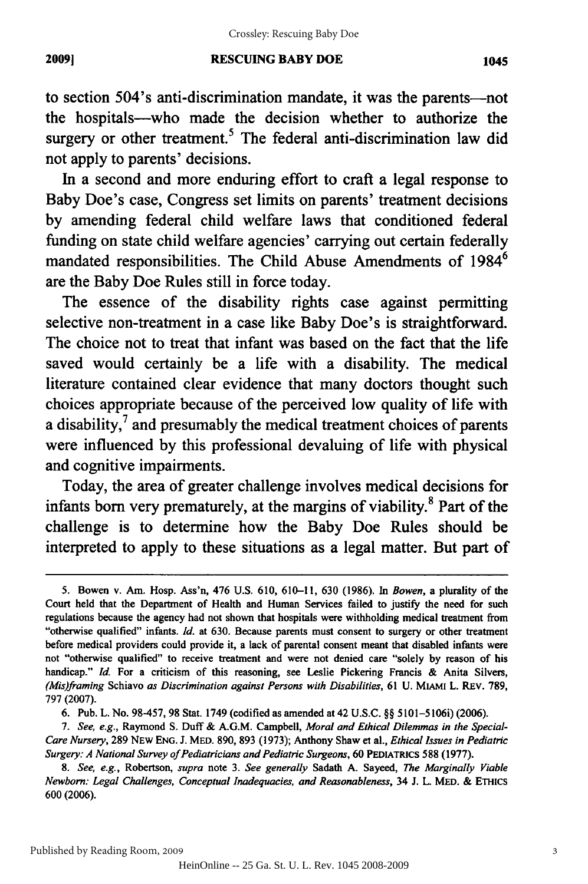## **RESCUING BABY DOE 20091 1045** 2009) RESCUING BABY DOE 1045

to section 504's anti-discrimination mandate, it was the parents-not the hospitals---who made the decision whether to authorize the surgery or other treatment.<sup>5</sup> The federal anti-discrimination law did not apply to parents' decisions. not apply to parents' decisions.

In a second and more enduring effort to craft a legal response to In a second and more enduring effort to craft a legal response to Baby Doe's case, Congress set limits on parents' treatment decisions Baby Doe's case, Congress set limits on parents' treatment decisions by amending federal child welfare laws that conditioned federal by amending federal child welfare laws that conditioned federal funding on state child welfare agencies' carrying out certain federally funding on state child welfare agencies' carrying out certain federally mandated responsibilities. The Child Abuse Amendments of 1984<sup>6</sup> are the Baby Doe Rules still in force today. are the Baby Doe Rules still in force today.

The essence of the disability rights case against permitting The essence of the disability rights case against permitting selective non-treatment in a case like Baby Doe's is straightforward. selective non-treatment in a case like Baby Doe's is straightforward. The choice not to treat that infant was based on the fact that the life The choice not to treat that infant was based on the fact that the life saved would certainly be a life with a disability. The medical saved would certainly be a life with a disability. The medical literature contained clear evidence that many doctors thought such literature contained clear evidence that many doctors thought such choices appropriate because of the perceived low quality of life with choices appropriate because of the perceived low quality of life with a disability,<sup>7</sup> and presumably the medical treatment choices of parents were influenced by this professional devaluing of life with physical were influenced by this professional devaluing of life with physical and cognitive impairments. and cognitive impairments.

Today, the area of greater challenge involves medical decisions for Today, the area of greater challenge involves medical decisions for infants born very prematurely, at the margins of viability.<sup>8</sup> Part of the challenge is to determine how the Baby Doe Rules should be interpreted to apply to these situations as a legal matter. But part of interpreted to apply to these situations as a legal matter. But part of

6. Pub. L. No. 98-457, 98 Stat. 1749 (codified as amended at 42 U.S.C. §§ 5101-5106i) (2006).

Published by Reading Room, 2009

<sup>5.</sup> Bowen v. Am. Hosp. Ass'n, 476 U.S. 610, 610-11, 630 (1986). In Bowen, a plurality of the 5. Bowen v. Am. Hosp. Ass'n, 476 U.S. 610, 610--11, 630 (1986). In *Bowen,* a plurality of the Court held that the Department of Health and Human Services failed to justify the need for such regulations because the agency had not shown that hospitals were withholding medical treatment from regulations because the agency had not shown that hospitals were withholding medical treatment from "otherwise qualified" infants. *Id.* at 630. Because parents must consent to surgery or other treatment before medical providers could provide it, a lack of parental consent meant that disabled infants were before medical providers could provide it, a lack of parental consent meant disabled infants were not "otherwise qualified" to receive treatment and were not denied care "solely by reason of his handicap." *Id.* For a criticism of this reasoning, see Leslie Pickering Francis & Anita Silvers, handicap." *Id.* For a criticism of this reasoning, see Leslie Pickering Francis & Anita Silvers, (Mis)framing Schiavo as Discrimination against Persons with Disabilities, 61 U. MIAMI L. REV. 789, 797 (2007). 797 (2007).

<sup>7.</sup> See, e.g., Raymond S. Duff & A.G.M. Campbell, *Moral and Ethical Dilemmas in the Special-Care Nursery,* 289 NEw ENG. J. MED. 890, 893 (1973); Anthony Shaw et al., *Ethical Issues in Pediatric Care Nursery,* 289 NEW ENG. MED. 890, 893 (1973); Anthony Shaw aI., *Ethical Issues in Pediatric*  Surgery: A National Survey of Pediatricians and Pediatric Surgeons, 60 PEDIATRICS 588 (1977).

<sup>8.</sup> See, e.g., Robertson, supra note 3. See generally Sadath A. Sayeed, The Marginally Viable *Newborn: Legal Challenges, Conceptual Inadequacies, and Reasonableness,* 34 J. L. MED. **&** ETHIcs *Newborn: Legal Challenges, Conceptual Inadequacies, and Reasonableness,* 1. L. MED. & ETHICS 600 (2006). 600 (2006).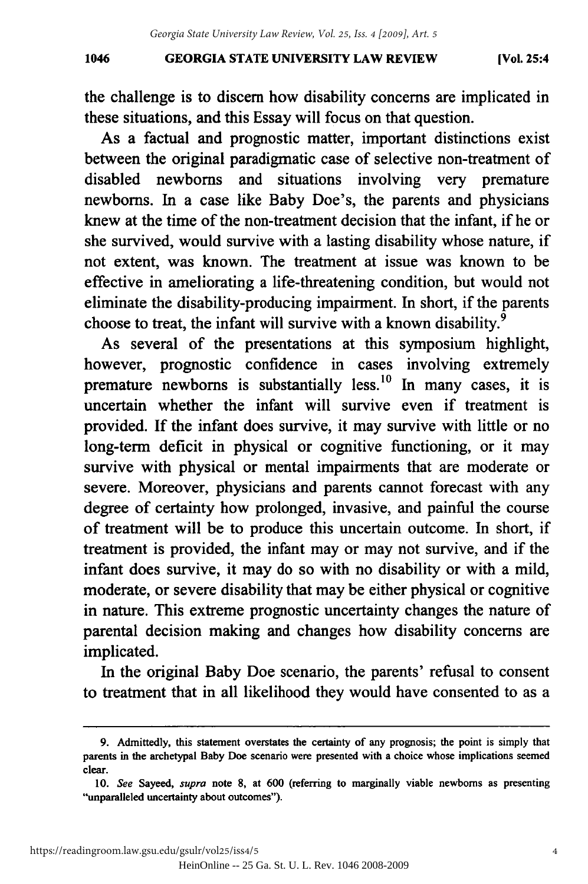#### **GEORGIA STATE UNIVERSITY LAW REVIEW** 1046 **[Vol. 25:4** 1046 GEORGIA STATE UNIVERSITY LAW REVIEW [Vol. 25:4

the challenge is to discern how disability concerns are implicated in the challenge is to discern how disability concerns are implicated in these situations, and this Essay will focus on that question. these situations, and this Essay will focus on that question.

As a factual and prognostic matter, important distinctions exist As a factual and prognostic matter, important distinctions exist between the original paradigmatic case of selective non-treatment of between the original paradigmatic case of selective non-treatment of disabled newborns and situations involving very premature newborns. In a case like Baby Doe's, the parents and physicians newborns. In a case like Baby Doe's, the parents and physicians knew at the time of the non-treatment decision that the infant, if he or she survived, would survive with a lasting disability whose nature, if not extent, was known. The treatment at issue was known to be effective in ameliorating a life-threatening condition, but would not effective in ameliorating a life-threatening condition, but would not eliminate the disability-producing impairment. In short, if the parents eliminate the disability-producing impairment. In short, if the parents choose to treat, the infant will survive with a known disability.<sup>9</sup>

As several of the presentations at this symposium highlight, As several of the presentations at this symposium highlight, however, prognostic confidence in cases involving extremely however, prognostic confidence in cases involving extremely premature newborns is substantially less.<sup>10</sup> In many cases, it is uncertain whether the infant will survive even if treatment is uncertain whether the infant will survive even if treatment is provided. If the infant does survive, it may survive with little or no provided. If the infant does survive, it may survive with little or no long-term deficit in physical or cognitive functioning, or it may long-term deficit in physical or cognitive functioning, or it may survive with physical or mental impairments that are moderate or survive with physical or mental impairments that are moderate or severe. Moreover, physicians and parents cannot forecast with any severe. Moreover, physicians and parents cannot forecast with any degree of certainty how prolonged, invasive, and painful the course of treatment will be to produce this uncertain outcome. In short, if treatment is provided, the infant may or may not survive, and if the treatment is provided, the infant mayor may not survive, and if the infant does survive, it may do so with no disability or with a mild, infant does survive, it may do so with no disability or with a mild, moderate, or severe disability that may be either physical or cognitive moderate, or severe disability that may be either physical or cognitive in nature. This extreme prognostic uncertainty changes the nature of parental decision making and changes how disability concerns are parental decision making and changes how disability concerns are implicated. implicated.

In the original Baby Doe scenario, the parents' refusal to consent to treatment that in all likelihood they would have consented to as a to treatment that in all likelihood they would have consented to as a

**<sup>9.</sup>** Admittedly, this statement overstates the certainty of any prognosis; the point is simply that 9. Admittedly, this statement overstates the certainty of any prognosis; the point is simply that parents in the archetypal Baby Doe scenario were presented with a choice whose implications seemed parents in the archetypal Baby Doe scenario were presented with a choice whose implications seemed clear. clear.

<sup>10.</sup> *See* Sayeed, *supra* note 8, at **600** (referring to marginally viable newborns as presenting *10. See* Sayeed, *supra* note 8, at 600 (referring to marginally viable newborns as presenting "unparalleled uncertainty about outcomes"). "unparalleled uncertainty about outcomes").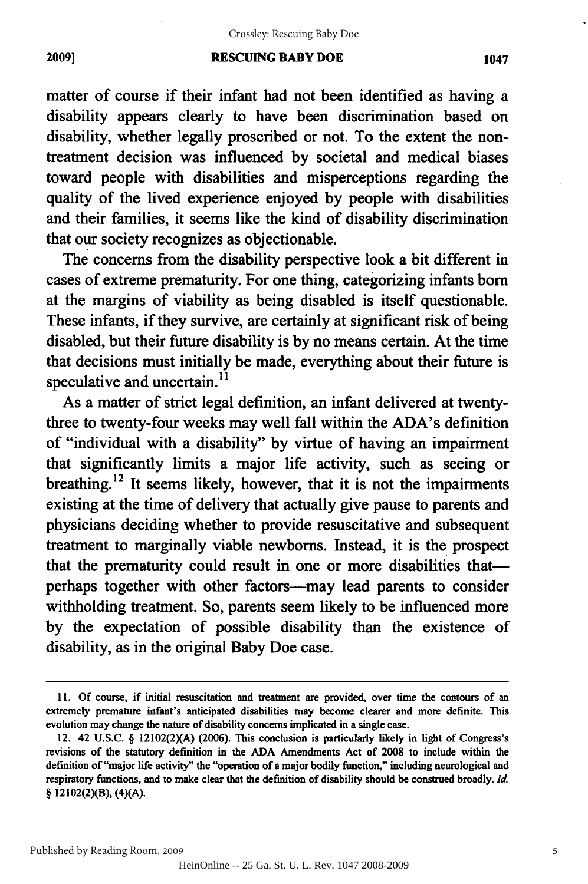#### Crossley: Rescuing Baby Doe

#### **RESCUING BABY DOE** 2009] RESCUING BABY DOE 1047

matter of course if their infant had not been identified as having a matter of course if their infant had not been identified as having a disability appears clearly to have been discrimination based on disability appears clearly to have been discrimination based on disability, whether legally proscribed or not. To the extent the non-disability, whether legally proscribed or not. To the extent the nontreatment decision was influenced **by** societal and medical biases treatment decision was influenced by societal and medical biases toward people with disabilities and misperceptions regarding the toward people with disabilities and misperceptions regarding the quality of the lived experience enjoyed **by** people with disabilities quality of the lived experience enjoyed by people with disabilities and their families, it seems like the kind of disability discrimination and their families, it seems like the kind of disability discrimination that our society recognizes as objectionable. that our society recognizes as objectionable.

The concerns from the disability perspective look a bit different in The concerns from the disability perspective look a bit different in cases of extreme prematurity. For one thing, categorizing infants born cases of extreme prematurity. For one thing, categorizing infants born at the margins of viability as being disabled is itself questionable. at the margins of viability as being disabled is itself questionable. These infants, if they survive, are certainly at significant risk of being These infants, if they survive, are certainly at significant risk of being disabled, but their future disability is **by** no means certain. At the time disabled, but their future disability is by no means certain. At the time that decisions must initially be made, everything about their future is that decisions must initially be made, everything about their future is speculative and uncertain.<sup>11</sup>

As a matter of strict legal definition, an infant delivered at twenty-As a matter of strict legal definition, an infant delivered at twentythree to twenty-four weeks may well fall within the ADA's definition three to twenty-four weeks may well fall within the ADA's defmition of "individual with a disability" **by** virtue of having an impairment of "individual with a disability" by virtue of having an impairment that significantly limits a major life activity, such as seeing or that significantly limits a major life activity, such as seeing or breathing.<sup>12</sup> It seems likely, however, that it is not the impairments existing at the time of delivery that actually give pause to parents and physicians deciding whether to provide resuscitative and subsequent physicians deciding whether to provide resuscitative and subsequent treatment to marginally viable newborns. Instead, it is the prospect treatment to marginally viable newborns. Instead, it is the prospect that the prematurity could result in one or more disabilities thatperhaps together with other factors---may lead parents to consider withholding treatment. So, parents seem likely to be influenced more withholding treatment. So, parents seem likely to be influenced more **by** the expectation of possible disability than the existence of by the expectation of possible disability than the existence of disability, as in the original Baby Doe case. disability, as in the original Baby Doe case.

Published by Reading Room, 2009

HeinOnline -- 25 Ga. St. U. L. Rev. 1047 2008-2009

**<sup>11.</sup> Of** course, if initial resuscitation and treatment are provided, over time the contours of an II. Of course, if initial resuscitation and treatment are provided, over time the contours of an extremely premature infant's anticipated disabilities may become clearer and more definite. This extremely premature infant's anticipated disabilities may become clearer and more definite. This evolution may change the nature of disability concerns implicated in a single case. evolution may change the nature of disability concerns implicated in a single case.

<sup>12. 42</sup> U.S.C. § 12102(2)(A) (2006). This conclusion is particularly likely in light of Congress's revisions of the statutory definition in the **ADA** Amendments Act of **2008** to include within the revisions of the statutory definition in the ADA Amendments Act of 2008 to include within the definition of "major life activity" the "operation of a major bodily function," including neurological and respiratory functions, and to make clear that the definition of disability should be construed broadly. Id.  $§ 12102(2)(B), (4)(A).$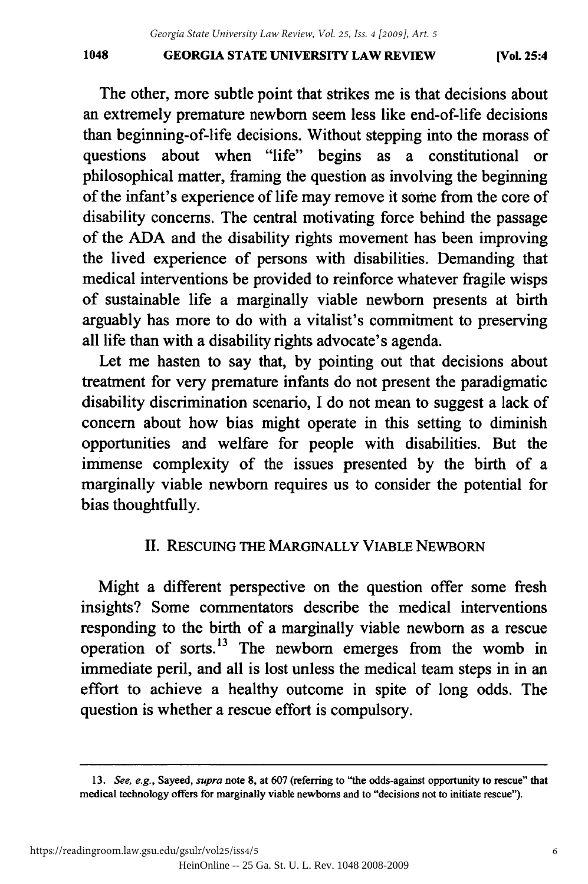#### **GEORGIA STATE UNIVERSITY LAW REVIEW 1048 [Vol. 25:4** 1048 GEORGIA STATE UNIVERSITY LAW REVIEW [Vol. 25:4

The other, more subtle point that strikes me is that decisions about an extremely premature newborn seem less like end-of-life decisions an extremely premature newborn seem less like end-of-life decisions than beginning-of-life decisions. Without stepping into the morass of questions about when "life" begins as a constitutional or questions about when "life" begins as a constitutional or philosophical matter, framing the question as involving the beginning philosophical matter, framing the question as involving the beginning of the infant's experience of life may remove it some from the core of disability concerns. The central motivating force behind the passage disability concerns. The central motivating force behind the passage of the ADA and the disability rights movement has been improving of the ADA and the disability rights movement has been improving the lived experience of persons with disabilities. Demanding that the lived experience of persons with disabilities. Demanding that medical interventions be provided to reinforce whatever fragile wisps medical interventions be provided to reinforce whatever fragile wisps of sustainable life a marginally viable newborn presents at birth arguably has more to do with a vitalist's commitment to preserving arguably has more to do with a vitalist's commitment to preserving all life than with a disability rights advocate's agenda. all life than with a disability rights advocate's agenda.

Let me hasten to say that, by pointing out that decisions about Let me hasten to say that, by pointing out that decisions about treatment for very premature infants do not present the paradigmatic disability discrimination scenario, I do not mean to suggest a lack of disability discrimination scenario, I do not mean to suggest a lack of concern about how bias might operate in this setting to diminish concern about how bias might operate in this setting to diminish opportunities and welfare for people with disabilities. But the opportunities and welfare for people with disabilities. But the immense complexity of the issues presented by the birth of a immense complexity of the issues presented by the birth of a marginally viable newborn requires us to consider the potential for marginally viable newborn requires us to consider the potential for bias thoughtfully. bias thoughtfully.

# II. RESCUING THE MARGINALLY VIABLE NEWBORN II. REsCUING THE MARGINALLY VIABLE NEWBORN

Might a different perspective on the question offer some fresh Might a different perspective on the question offer some fresh insights? Some commentators describe the medical interventions insights? Some commentators describe the medical interventions responding to the birth of a marginally viable newborn as a rescue responding to the birth of a marginally viable newborn as a rescue operation of sorts.<sup>13</sup> The newborn emerges from the womb in immediate peril, and all is lost unless the medical team steps in in an effort to achieve a healthy outcome in spite of long odds. The question is whether a rescue effort is compulsory. question is whether a rescue effort is compulsory.

<sup>13.</sup> See, e.g., Sayeed, supra note 8, at 607 (referring to "the odds-against opportunity to rescue" that medical technology offers for marginally viable newborns and to "decisions not to initiate rescue"). medical technology offers for marginally viable newborns and to "decisions not to initiate rescue").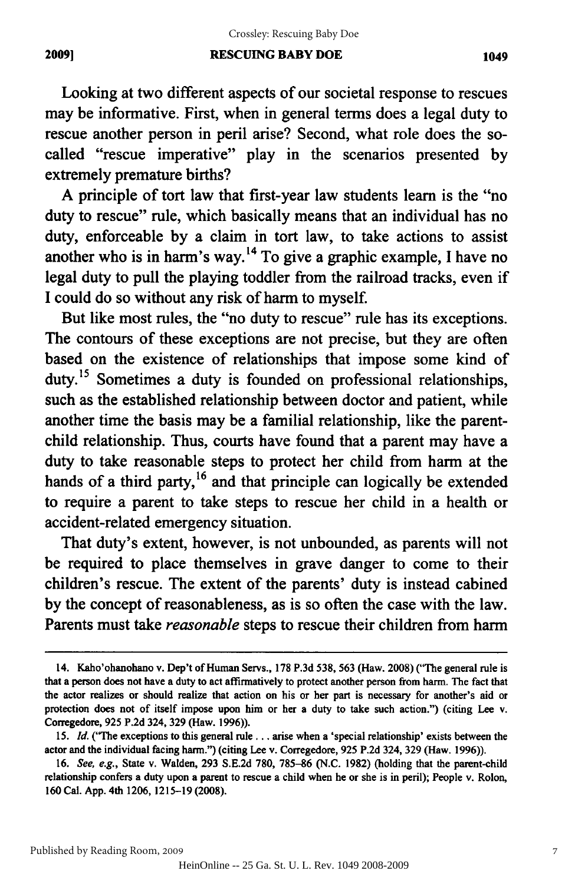### **RESCUING BABY DOE 20091 1049** 2009] RESCUING BABY DOE 1049

Looking at two different aspects of our societal response to rescues Looking at two different aspects of our societal response to rescues may be informative. First, when in general terms does a legal duty to may be informative. First, when in general terms does a legal duty to rescue another person in peril arise? Second, what role does the socalled "rescue imperative" play in the scenarios presented by called "rescue imperative" play in the scenarios presented by extremely premature births? extremely premature births?

A principle of tort law that first-year law students learn is the "no A principle of tort law that first-year law students learn is the "no duty to rescue" rule, which basically means that an individual has no duty to rescue" rule, which basically means that an individual has no duty, enforceable by a claim in tort law, to take actions to assist duty, enforceable by a claim in tort law, to take actions to assist another who is in harm's way.<sup>14</sup> To give a graphic example, I have no legal duty to pull the playing toddler from the railroad tracks, even if legal duty to pull the playing toddler from the railroad tracks, even if I could do so without any risk of harm to myself. I could do so without any risk of harm to myself.

But like most rules, the "no duty to rescue" rule has its exceptions. But like most rules, the "no duty to rescue" rule has its exceptions. The contours of these exceptions are not precise, but they are often The contours of these exceptions are not precise, but they are often based on the existence of relationships that impose some kind of based on the existence of relationships that impose some kind of duty.<sup>15</sup> Sometimes a duty is founded on professional relationships, such as the established relationship between doctor and patient, while such as the established relationship between doctor and patient, while another time the basis may be a familial relationship, like the parent-another time the basis may be a familial relationship, like the parentchild relationship. Thus, courts have found that a parent may have a child relationship. Thus, courts have found that a parent may have a duty to take reasonable steps to protect her child from harm at the duty to take reasonable steps to protect her child from harm at the hands of a third party,<sup>16</sup> and that principle can logically be extended to require a parent to take steps to rescue her child in a health or to require a parent to take steps to rescue her child in a health or accident-related emergency situation. accident-related emergency situation.

That duty's extent, however, is not unbounded, as parents will not That duty's extent, however, is not unbounded, as parents will not be required to place themselves in grave danger to come to their be required to place themselves in grave danger to come to their children's rescue. The extent of the parents' duty is instead cabined by the concept of reasonableness, as is so often the case with the law. Parents must take *reasonable* steps to rescue their children from harm Parents must take *reasonable* steps to rescue their children from harm

Published by Reading Room, 2009

<sup>14.</sup> Kaho'ohanohano v. Dep't of Human Servs., 178 P.3d 538, 563 (Haw. 2008) ("The general rule is that a person does not have a duty to act affirmatively to protect another person from harm. The fact that that a person does not have a duty to act affinnatively to protect another person from harm. The fact that the actor realizes or should realize that action on his or her part is necessary for another's aid or protection does not of itself impose upon him or her a duty to take such action.") (citing Lee v. Corregedore, **925 P.2d** 324, **329** (Haw. **1996)).** Corregedore, 925 P.2d 324, 329 (Haw. 1996».

<sup>15.</sup> *Id.* ("The exceptions to this general rule . . . arise when a 'special relationship' exists between the actor and the individual facing harm.") (citing Lee v. Corregedore, 925 P.2d 324, 329 (Haw. 1996)).

**<sup>16.</sup>** See, e.g., State v. Walden, **293 S.E.2d 780, 785-86 (N.C. 1982)** (holding that the parent-child *16. See. e.g.,* State v. Walden, 293 S.E.2d 780, 785-86 (N.C. 1982) (holding that the parent-child relationship confers a duty upon a parent to rescue a child when he or she is in peril); People v. Rolon, **160** Cal. **App.** 4th **1206, 1215-19 (2008).** 160 Cal. App. 4th 1206, 1215-19 (2008).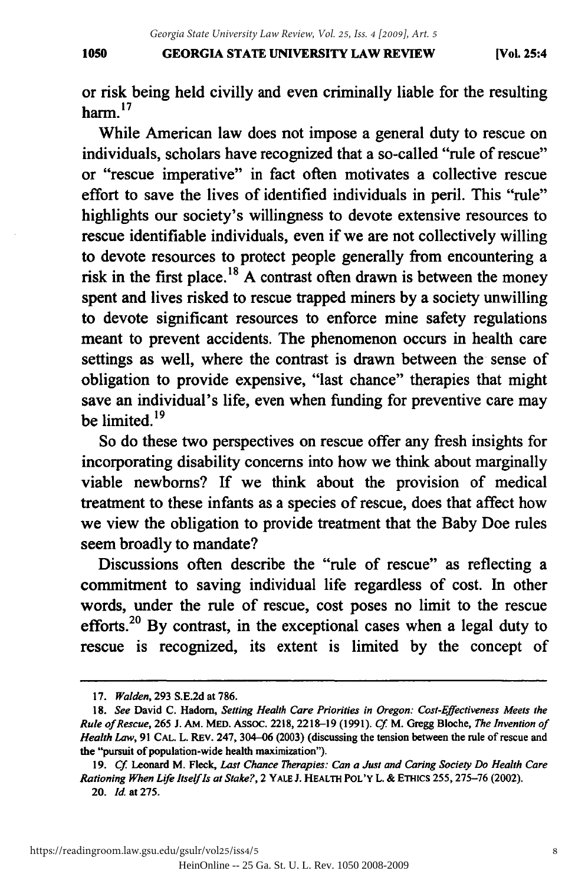## **GEORGIA STATE UNIVERSITY LAW REVIEW 1050 [Vol.** 25:4 1050 GEORGIA STATE UNIVERSITY LAW REVIEW [Vol. 25:4

or risk being held civilly and even criminally liable for the resulting or risk being held civilly and even criminally liable for the resulting harm.<sup>17</sup>

While American law does not impose a general duty to rescue on While American law does not impose a general duty to rescue on individuals, scholars have recognized that a so-called "rule of rescue" individuals, scholars have recognized that a so-called "rule of rescue" or "rescue imperative" in fact often motivates a collective rescue or "rescue imperative" fact often motivates a collective rescue effort to save the lives of identified individuals in peril. This "rule" effort to save the lives of identified individuals in peril. This "rule" highlights our society's willingness to devote extensive resources to highlights our society's willingness to devote extensive resources to rescue identifiable individuals, even if we are not collectively willing rescue identifiable individuals, even if we are not collectively willing to devote resources to protect people generally from encountering a to devote resources to protect people generally from encountering a risk in the first place.<sup>18</sup> A contrast often drawn is between the money spent and lives risked to rescue trapped miners **by** a society unwilling spent and lives risked to rescue trapped miners by a society unwilling to devote significant resources to enforce mine safety regulations to devote significant resources to enforce mine safety regulations meant to prevent accidents. The phenomenon occurs in health care settings as well, where the contrast is drawn between the sense of obligation to provide expensive, "last chance" therapies that might save an individual's life, even when funding for preventive care may be limited.<sup>19</sup>

So do these two perspectives on rescue offer any fresh insights for incorporating disability concerns into how we think about marginally viable newborns? If we think about the provision of medical treatment to these infants as a species of rescue, does that affect how we view the obligation to provide treatment that the Baby Doe rules we view the obligation to provide treatment that the Baby Doe rules seem broadly to mandate? broadly to mandate?

Discussions often describe the "rule of rescue" as reflecting a Discussions often describe the "rule of rescue" as reflecting a commitment to saving individual life regardless of cost. In other commitment to saving individual life regardless of cost. In other words, under the rule of rescue, cost poses no limit to the rescue words, under the rule of rescue, cost poses no limit to the rescue efforts.20 **By** contrast, in the exceptional cases when a legal duty to efforts.20 By contrast, in the exceptional cases when a legal duty to rescue is recognized, its extent is limited **by** the concept of rescue is recognized, its extent is limited by the concept of

**<sup>17.</sup>** Walden, **293 S.E.2d** at **786.** *17. Walden,* 293 S.E.2d at 786.

<sup>18.</sup> See David C. Hadom, Setting Health Care Priorities in Oregon: Cost-Effectiveness Meets the Rule of Rescue, 265 J. AM. MED. ASSOC. 2218, 2218-19 (1991). Cf. M. Gregg Bloche, The Invention of Health Law, 91 CAL. L. REV. 247, 304-06 (2003) (discussing the tension between the rule of rescue and the "pursuit of population-wide health maximization").

<sup>19.</sup> Cf. Leonard M. Fleck, Last Chance Therapies: Can a Just and Caring Society Do Health Care Rationing *When Life ItselfIs at Stake?,* 2 YALE **J. HEALTH POL'Y L. &** ETHiCS **255,275-76** (2002). *Rationing Life Itself Is at Stake?,* 2 YALEJ. HEALTH POL'y L. & ETHICS 255, 275-76 (2002). 20. **Id.** at **275.** *20. Id.* at 275.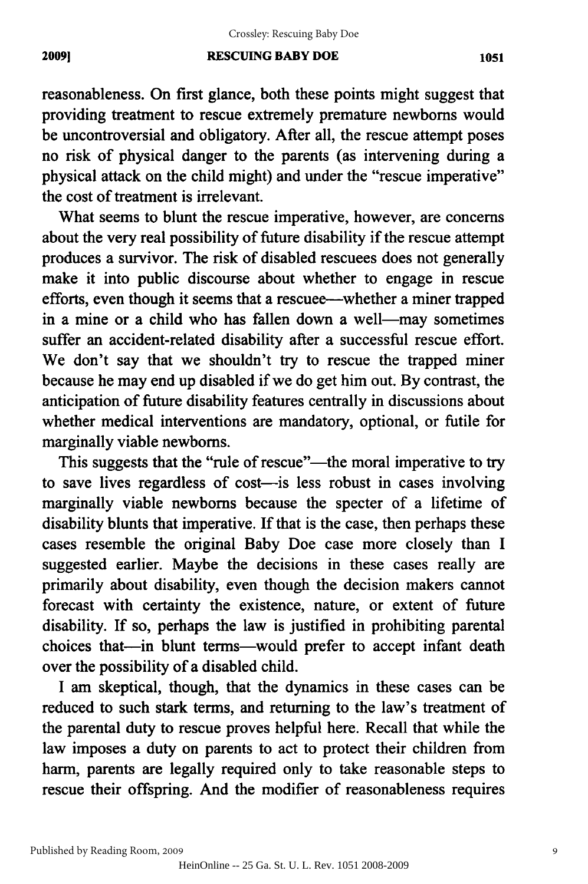## **RESCUING BABY DOE** 2009) RESCUING BABY DOE 1051

reasonableness. On first glance, both these points might suggest that providing treatment to rescue extremely premature newborns would providing treatment to rescue extremely premature newborns would be uncontroversial and obligatory. After all, the rescue attempt poses no risk of physical danger to the parents (as intervening during a no risk of physical danger to the parents (as intervening during a physical attack on the child might) and under the "rescue imperative" the cost of treatment is irrelevant. the cost of treatment is irrelevant.

What seems to blunt the rescue imperative, however, are concerns What seems to blunt the rescue imperative, however, are concerns about the very real possibility of future disability if the rescue attempt about the very real possibility of future disability if the rescue attempt produces a survivor. The risk of disabled rescuees does not generally produces a survivor. The risk of disabled rescuees does not generally make it into public discourse about whether to engage in rescue make it into public discourse about whether to engage in rescue efforts, even though it seems that a rescuee-whether a miner trapped efforts, even though it seems that a rescuee-whether a miner trapped in a mine or a child who has fallen down a well-may sometimes suffer an accident-related disability after a successful rescue effort. suffer an accident-related disability after a successful rescue effort. We don't say that we shouldn't try to rescue the trapped miner We don't say that we shouldn't try to rescue the trapped miner because he may end up disabled if we do get him out. By contrast, the anticipation of future disability features centrally in discussions about anticipation of future disability features centrally in discussions about whether medical interventions are mandatory, optional, or futile for marginally viable newborns. marginally viable newborns.

This suggests that the "rule of rescue"—the moral imperative to try to save lives regardless of cost-is less robust in cases involving to save lives regardless of cost-is less robust in cases involving marginally viable newborns because the specter of a lifetime of marginally viable newborns because the specter of a lifetime of disability blunts that imperative. If that is the case, then perhaps these cases resemble the original Baby Doe case more closely than I suggested earlier. Maybe the decisions in these cases really are suggested earlier. Maybe the decisions in these cases really are primarily about disability, even though the decision makers cannot primarily about disability, even though the decision makers cannot forecast with certainty the existence, nature, or extent of future forecast with certainty the existence, nature, extent of future disability. If so, perhaps the law is justified in prohibiting parental disability. If so, perhaps the law is justified in prohibiting parental choices that-in blunt terms-would prefer to accept infant death over the possibility of a disabled child. the possibility of a disabled child.

I am skeptical, though, that the dynamics in these cases can be reduced to such stark terms, and returning to the law's treatment of reduced to such stark terms, and returning to the law's treatment of the parental duty to rescue proves helpful here. Recall that while the law imposes a duty on parents to act to protect their children from harm, parents are legally required only to take reasonable steps to rescue their offspring. And the modifier of reasonableness requires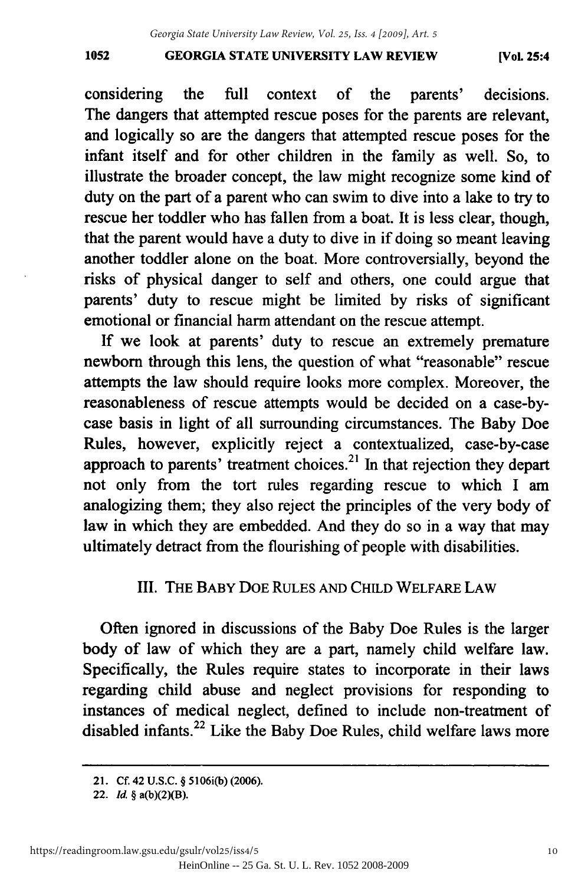#### **GEORGIA STATE UNIVERSITY LAW REVIEW 1052 [VoL 25:4** 1052 GEORGIA STATE UNIVERSITY LAW REVIEW (VoL 25:4

considering the full context of the parents' decisions. considering the full context of the parents' decisions. The dangers that attempted rescue poses for the parents are relevant, and logically so are the dangers that attempted rescue poses for the and logically so are the dangers that attempted rescue poses for the infant itself and for other children in the family as well. So, to infant itself and for other children in the family as well. So, to illustrate the broader concept, the law might recognize some kind of illustrate the broader concept, the law might recognize some kind of duty on the part of a parent who can swim to dive into a lake to try to rescue her toddler who has fallen from a boat. It is less clear, though, rescue her toddler who has fallen from a boat. It is less clear, though, that the parent would have a duty to dive in if doing so meant leaving that the parent would have a duty to dive in if doing so meant leaving another toddler alone on the boat. More controversially, beyond the another toddler alone on the boat. More controversially, beyond the risks of physical danger to self and others, one could argue that risks of physical danger to self and others, one could argue that parents' duty to rescue might be limited **by** risks of significant parents' duty to rescue might be limited by risks of significant emotional or financial harm attendant on the rescue attempt. emotional or financial harm attendant on the rescue attempt.

If we look at parents' duty to rescue an extremely premature If we look at parents' duty to rescue an extremely premature newborn through this lens, the question of what "reasonable" rescue newborn through this lens, the question of what "reasonable" rescue attempts the law should require looks more complex. Moreover, the attempts the law should require looks complex. Moreover, the reasonableness of rescue attempts would be decided on a case-by-reasonableness of rescue attempts would be decided on a case-bycase basis in light of all surrounding circumstances. The Baby Doe case basis in light of all surrounding circumstances. The Doe Rules, however, explicitly reject a contextualized, case-by-case Rules, however, explicitly reject a contextualized, case-by-case approach to parents' treatment choices.<sup>21</sup> In that rejection they depart not only from the tort rules regarding rescue to which I am not only from the tort rules regarding rescue to which I am analogizing them; they also reject the principles of the very body of law in which they are embedded. And they do so in a way that may ultimately detract from the flourishing of people with disabilities. ultimately detract from of people with disabilities.

# **III.** THE BABY **DOE** RULES AND CHILD WELFARE LAW III. THE BABY DOE RULES AND CHILD WELFARE LAW

Often ignored in discussions of the Baby Doe Rules is the larger Often ignored in discussions of the Baby Doe Rules is the larger body of law of which they are a part, namely child welfare law. Specifically, the Rules require states to incorporate in their laws Specifically, the Rules require states to incorporate in their laws regarding child abuse and neglect provisions for responding to instances of medical neglect, defined to include non-treatment of instances of medical neglect, defined to include non-treatment of disabled infants.<sup>22</sup> Like the Baby Doe Rules, child welfare laws more

<sup>21.</sup> Cf. 42 U.S.C. § 5106i(b) (2006).

<sup>22.</sup> *Id.* **§** a(b)(2)(B). *22. ld* § a(b)(2)(B).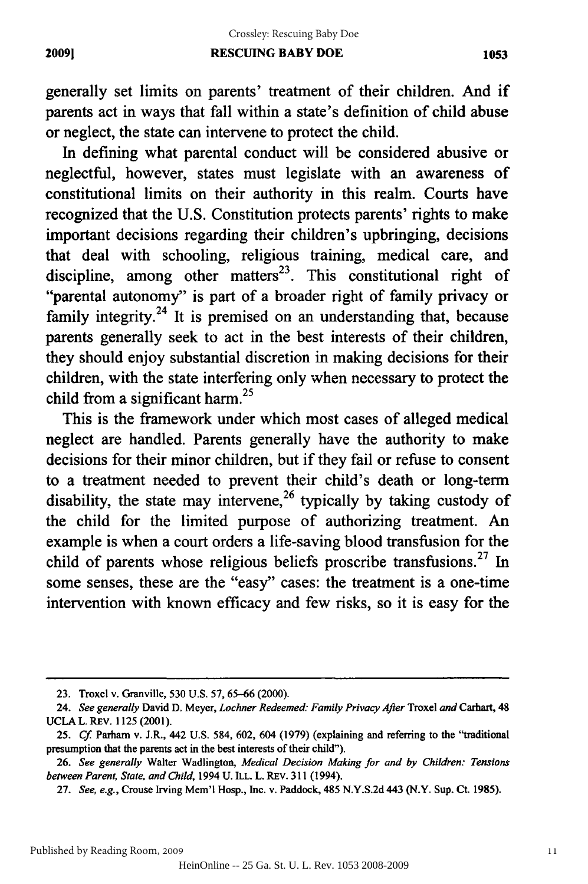generally set limits on parents' treatment of their children. And if generally set limits on parents' treatment of their children. And if parents act in ways that fall within a state's definition of child abuse parents act in ways that fall within a state's definition of child abuse or neglect, the state can intervene to protect the child. or neglect, the state can intervene to protect the child.

In defining what parental conduct will be considered abusive or In defining what parental conduct will be considered abusive or neglectful, however, states must legislate with an awareness of neglectful, however, states must legislate with an awareness of constitutional limits on their authority in this realm. Courts have recognized that the U.S. Constitution protects parents' rights to make recognized that the U.S. Constitution protects parents' rights to make important decisions regarding their children's upbringing, decisions important decisions regarding their children's upbringing, decisions that deal with schooling, religious training, medical care, and that deal with schooling, religious training, medical care, and discipline, among other matters<sup>23</sup>. This constitutional right of "parental autonomy" is part of a broader right of family privacy or "parental autonomy" is part of a broader right of family privacy or family integrity.<sup>24</sup> It is premised on an understanding that, because parents generally seek to act in the best interests of their children, parents generally seek to act in the best interests of their children, they should enjoy substantial discretion in making decisions for their they should enjoy substantial discretion in making decisions for their children, with the state interfering only when necessary to protect the children, with interfering only when necessary to protect the child from a significant harm.<sup>25</sup>

This is the framework under which most cases of alleged medical This is the framework under which most cases of alleged medical neglect are handled. Parents generally have the authority to make decisions for their minor children, but if they fail or refuse to consent to a treatment needed to prevent their child's death or long-term a treatment needed to prevent their child's death or long-term disability, the state may intervene,  $26$  typically by taking custody of the child for the limited purpose of authorizing treatment. An the child for the limited purpose of authorizing treatment. An example is when a court orders a life-saving blood transfusion for the child of parents whose religious beliefs proscribe transfusions.<sup>27</sup> In some senses, these are the "easy" cases: the treatment is a one-time some senses, these are the "easy" cases: the treatment is a one-time intervention with known efficacy and few risks, so it is easy for the intervention with known efficacy and few risks, so it is easy for the

<sup>23.</sup> Troxel v. Granville, 530 U.S. 57, 65-66 (2000).

<sup>24.</sup> *See generally* David D. Meyer, *Lochner Redeemed: Family Privacy After* Troxel *and* Carhart, 48 *24. generally* Meyer, *Lochner Redeemed: Family Privacy After* Troxel *and* Carhart, 48 UCLA L. REv. 1125 (2001). UCLAL.REv.1l25(2001).

<sup>25.</sup> Cf. Parham v. J.R., 442 U.S. 584, 602, 604 (1979) (explaining and referring to the "traditional presumption that the parents act in the best interests of their child"). presumption that the parents act in the best interests of their child").

<sup>26.</sup> *See generally* Walter Wadlington, *Medical Decision Making for and by Children: Tensions 26. generally* Walter Wadlington, *Medical Decision Making for and by Children: Tensions between Parent, State, and Child, 1994 U.ILL. L. REV.* 311 (1994).

<sup>27.</sup> *See, e.g.,* Crouse Irving Mem'l Hosp., Inc. v. Paddock, 485 N.Y.S.2d 443 (N.Y. Sup. Ct. 1985). *27. See, e.g.,* Crouse Irving Mem'l Hosp., Inc. v. Paddock, 485 N.Y.S.2d 443 (N.Y. Sup. Ct. 1985).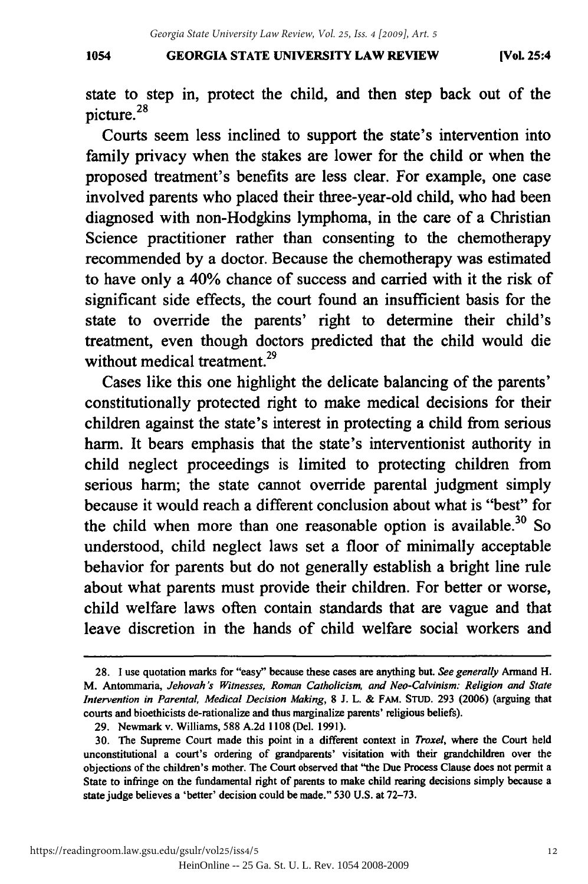### **GEORGIA STATE UNIVERSITY LAW REVIEW 10.54 [Vol. 25:4** 1054 GEORGIA STATE UNIVERSITY LAW REVIEW (VoL 25:4

state to step in, protect the child, and then step back out of the state to step in, protect child, and then step back out of the picture.<sup>28</sup>

Courts seem less inclined to support the state's intervention into Courts seem less inclined to support the state's intervention into family privacy when the stakes are lower for the child or when the family privacy when the stakes are lower for the child or when the proposed treatment's benefits are less clear. For example, one case proposed treatment's benefits are less clear. For example, one case involved parents who placed their three-year-old child, who had been involved parents who placed their three-year-old child, who had been diagnosed with non-Hodgkins lymphoma, in the care of a Christian diagnosed with non-Hodgkins lymphoma, in the care of a Christian Science practitioner rather than consenting to the chemotherapy Science practitioner rather than consenting to the chemotherapy recommended by a doctor. Because the chemotherapy was estimated to have only a 40% chance of success and carried with it the risk of significant side effects, the court found an insufficient basis for the significant side the court found an insufficient basis for the state to override the parents' right to determine their child's treatment, even though doctors predicted that the child would die treatment, even though predicted child would die without medical treatment.<sup>29</sup>

Cases like this one highlight the delicate balancing of the parents' Cases like this one highlight the delicate balancing of the parents' constitutionally protected right to make medical decisions for their children against the state's interest in protecting a child from serious children against the state's interest in protecting a child from serious harm. It bears emphasis that the state's interventionist authority in child neglect proceedings is limited to protecting children from child neglect proceedings is limited to protecting children from serious harm; the state cannot override parental judgment simply serious harm; the state cannot override parental judgment simply because it would reach a different conclusion about what is "best" for the child when more than one reasonable option is available.<sup>30</sup> So understood, child neglect laws set a floor of minimally acceptable behavior for parents but do not generally establish a bright line rule about what parents must provide their children. For better or worse, about what parents must provide their children. For better or worse, child welfare laws often contain standards that are vague and that child welfare laws often contain standards that are vague and that leave discretion in the hands of child welfare social workers and

https://readingroom.law.gsu.edu/gsulr/vol25/iss4/5

<sup>28.</sup> I use quotation marks for "easy" because these cases are anything but. See generally Armand H. **M.** Antommaria, *Jehovah 's Witnesses, Roman Catholicism, and Neo-Calvinism: Religion and State* M. Antommaria, *Jehovah's Witnesses, Roman Catholicism, and Neo-Calvinism: Religion and State*  Intervention in Parental, Medical Decision Making, 8 J. L. & FAM. STUD. 293 (2006) (arguing that courts and bioethicists de-rationalize and thus marginalize parents' religious beliefs). courts and bioethicists de-rationalize and thus marginalize parents' religious beliefs).

**<sup>29.</sup>** Newmark v. Williams, **588 A.2d 1108** (Del. **1991).** 29. Newmark Williams, 588 A.2d 1108 (Del. 1991).

<sup>30.</sup> The Supreme Court made this point in a different context in *Troxel*, where the Court held unconstitutional a court's ordering of grandparents' visitation with their grandchildren over the unconstitutional a court's ordering of grandparents' with their grandchildren the objections of the children's mother. The Court observed that "the Due Process Clause does not permit a State to infringe on the fundamental right of parents to make child rearing decisions simply because a state judge believes a 'better' decision could be made." 530 U.S. at 72-73.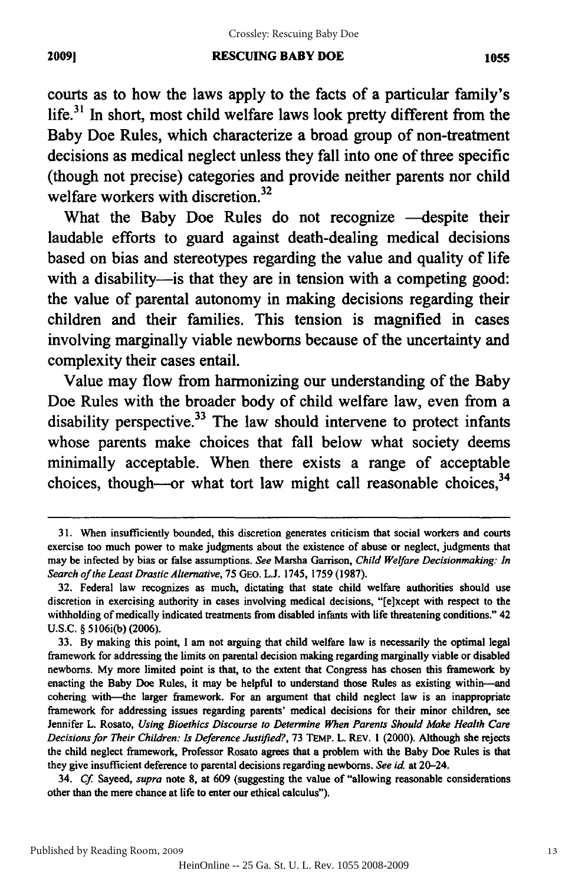#### **RESCUING BABY DOE 20091 1055** 2009) RESCUING BABY DOE 1055

courts as to how the laws apply to the facts of a particular family's courts as to how the laws apply to the facts of a particular family's life.<sup>31</sup> In short, most child welfare laws look pretty different from the Baby Doe Rules, which characterize a broad group of non-treatment Baby Doe Rules, which characterize a broad group of non-treatment decisions as medical neglect unless they fall into one of three specific decisions as medical neglect unless they fall into one of three specific (though not precise) categories and provide neither parents nor child (though not precise) categories and provide neither parents nor child welfare workers with discretion.<sup>32</sup>

What the Baby Doe Rules do not recognize -despite their laudable efforts to guard against death-dealing medical decisions laudable efforts to guard against death-dealing medical decisions based on bias and stereotypes regarding the value and quality of life based on bias and stereotypes regarding the value and quality of life with a disability-is that they are in tension with a competing good: the value of parental autonomy in making decisions regarding their the value of parental autonomy in making decisions regarding their children and their families. This tension is magnified in cases children and their families. This tension is magnified in cases involving marginally viable newborns because of the uncertainty and involving marginally viable newborns because of the uncertainty and complexity their cases entail. complexity their cases entail.

Value may flow from harmonizing our understanding of the Baby Value may flow from harmonizing our understanding of the Baby Doe Rules with the broader body of child welfare law, even from a Doe Rules with the broader body of child welfare law, even from a disability perspective.<sup>33</sup> The law should intervene to protect infants whose parents make choices that fall below what society deems whose parents make choices that fall below what society deems minimally acceptable. When there exists a range of acceptable minimally acceptable. When there exists a range of acceptable minimarry acceptance. When there emists a range or acceptance choices, 34

**<sup>31.</sup>** When insufficiently bounded, this discretion generates criticism that social workers and courts 31. When insufficiently bounded, this discretion generates criticism that social workers and courts exercise too much power to make judgments about the existence of abuse or neglect, judgments that may be infected by bias or false assumptions. See Marsha Garrison, Child Welfare Decisionmaking: In *Search of the Least Drastic Alternative,* **75 GEO. L.J.** 1745, **1759 (1987).** *Search of the Least Drastic Alternative,* 75 GEO. L.J. 1745, 1759 (1987).

**<sup>32.</sup>** Federal law recognizes as much, dictating that state child welfare authorities should use 32. Federal law recognizes as much, dictating that state child welfare authorities should use discretion in exercising authority in cases involving medical decisions, "[e]xcept with respect to the withholding of medically indicated treatments from disabled infants with life threatening conditions." 42 withholding of medically indicated treatments from disabled infants with life threatening conditions." 42 U.S.C. § 5106i(b) (2006). U.S.C. § 5106i(b) (2006).

<sup>33.</sup> By making this point, I am not arguing that child welfare law is necessarily the optimal legal framework for addressing the limits on parental decision making regarding marginally viable or disabled framework for addressing the limits on parental decision making regarding marginally viable or disabled newborns. My more limited point is that, to the extent that Congress has chosen this framework by newborns. My more limited point is that, to the extent that Congress has chosen this framework by enacting the Baby Doe Rules, it may be helpful to understand those Rules as existing within---and cohering with-the larger framework. For an argument that child neglect law is an inappropriate cohering with-the larger framework. For an argument that child neglect law is an inappropriate framework for addressing issues regarding parents' medical decisions for their minor children, see framework for addressing issues regarding parents' medical decisions for their minor children, see Jennifer L. Rosato, Using Bioethics Discourse *to* Determine *When Parents Should Make Health Care* Jennifer L. Rosato, *Using Bioethics Discourse to Determine When Parents Should Make Health Care*  Decisions for Their Children: Is Deference Justified?, 73 TEMP. L. REV. 1 (2000). Although she rejects the child neglect framework, Professor Rosato agrees that a problem with the Baby Doe Rules is that the child neglect framework, Professor Rosato agrees that a problem with the Baby Doe Rules is that they give insufficient deference to parental decisions regarding newborns. *See id.* at 20-24. they give insufficient deference to parental decisions regarding newborns. *See id.* at 20-24.

<sup>34.</sup> Cf. Sayeed, supra note 8, at 609 (suggesting the value of "allowing reasonable considerations other than the mere chance at life to enter our ethical calculus"). other than the mere chance at life to enter our ethical calculus").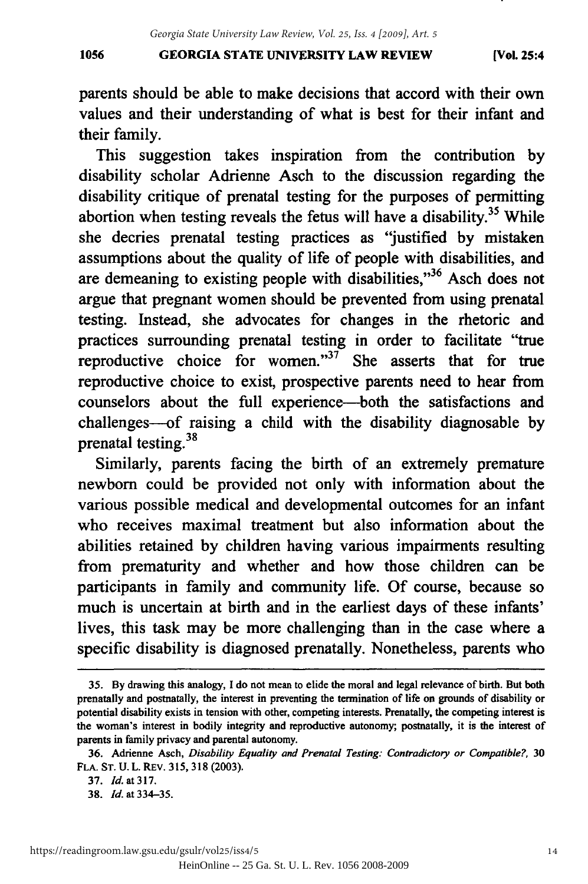#### **GEORGIA STATE UNIVERSITY LAW REVIEW 1056 [Vol. 25:4** 1056 GEORGIA STATE UNIVERSITY LAW REVIEW (Vol. 25:4

parents should be able to make decisions that accord with their own values and their understanding of what is best for their infant and their family. their family.

This suggestion takes inspiration from the contribution by disability scholar Adrienne Asch to the discussion regarding the disability scholar Adrienne Asch the discussion regarding the disability critique of prenatal testing for the purposes of permitting disability critique of prenatal testing for the purposes of pennitting abortion when testing reveals the fetus will have a disability.<sup>35</sup> While she decries prenatal testing practices as "justified by mistaken she decries prenatal testing practices as ''justified by mistaken assumptions about the quality of life of people with disabilities, and assumptions about the quality of life of people with disabilities, and are demeaning to existing people with disabilities,"<sup>36</sup> Asch does not argue that pregnant women should be prevented from using prenatal testing. Instead, she advocates for changes in the rhetoric and practices surrounding prenatal testing in order to facilitate "true practices surrounding prenatal testing in order to facilitate "true reproductive choice for women."<sup>37</sup> She asserts that for true reproductive choice to exist, prospective parents need to hear from counselors about the full experience-both the satisfactions and counselors about the experience-both the satisfactions and challenges-of raising a child with the disability diagnosable by prenatal testing. <sup>38</sup> prenatal testing.<sup>38</sup>

Similarly, parents facing the birth of an extremely premature newborn could be provided not only with information about the newborn could be provided not only with infonnation about the various possible medical and developmental outcomes for an infant who receives maximal treatment but also information about the abilities retained by children having various impairments resulting abilities retained by children having various impainnents resulting from prematurity and whether and how those children can be from prematurity and whether and how those children can be participants in family and community life. Of course, because so participants in family and community life. Of course, because so much is uncertain at birth and in the earliest days of these infants' much is uncertain at birth and in the earliest days of these infants' lives, this task may be more challenging than in the case where a lives, this task may be more challenging than in the case where a specific disability is diagnosed prenatally. Nonetheless, parents who

<sup>35.</sup> **By** drawing this analogy, I **do** not mean to elide the moral and legal relevance of birth. But both 35. By drawing this analogy, I do not mean to elide the moral and relevance of birth. But both prenatally and postnatally, the interest in preventing the termination of life on grounds of disability or prenatally and postnatally, the interest in preventing the termination of life on grounds of disability or potential disability exists in tension with other, competing interests. Prenatally, the competing interest is potential disability exists in tension with other, competing interests. Prenatally, the competing interest is the woman's interest in bodily integrity and reproductive autonomy; postnatally, it is the interest of the woman's interest in bodily integrity and reproductive autonomy; postnatally, it is the interest of parents in family privacy and parental autonomy. parents in family privacy and parental autonomy.

**<sup>36.</sup>** Adrienne Asch, *Disability Equality and Prenatal Testing: Contradictory or Compatible?,* **<sup>30</sup>** 36. Adrienne Asch, *Disability Equality and Prenatal Testing: Contradictory or Compatible? 30*  **FLA.** *ST.* **U.** L. REv. **315, 318 (2003).** FLA. ST. U. L. REv. 315, 318 (2003). 37. *Id.* at 317.

**<sup>37.</sup>** *Id.* at **317.**

**<sup>38.</sup>** *Id.* at **334-35.** *38. Id.* at 334-35.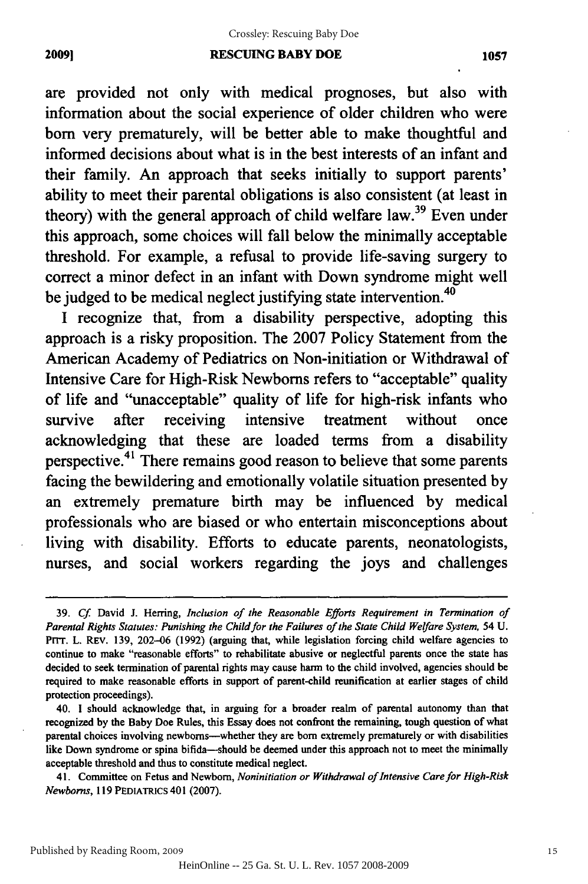#### **RESCUING BABY DOE 20091 1057** 2009) RESCUING BABY DOE 1057

are provided not only with medical prognoses, but also with are provided not only medical prognoses, but also with information about the social experience of older children who were born very prematurely, will be better able to make thoughtful and informed decisions about what is in the best interests of an infant and informed decisions about what is in the best interests of an infant and their family. An approach that seeks initially to support parents' ability to meet their parental obligations is also consistent (at least in theory) with the general approach of child welfare law.<sup>39</sup> Even under this approach, some choices will fall below the minimally acceptable threshold. For example, a refusal to provide life-saving surgery to correct a minor defect in an infant with Down syndrome might well be judged to be medical neglect justifying state intervention.<sup>40</sup>

I recognize that, from a disability perspective, adopting this approach is a risky proposition. The 2007 Policy Statement from the American Academy of Pediatrics on Non-initiation or Withdrawal of Intensive Care for High-Risk Newborns refers to "acceptable" quality of life and "unacceptable" quality of life for high-risk infants who survive after receiving intensive treatment without once acknowledging that these are loaded terms from a disability perspective.<sup>41</sup> There remains good reason to believe that some parents facing the bewildering and emotionally volatile situation presented by an extremely premature birth may be influenced by medical an extremely premature may be influenced by medical professionals who are biased or who entertain misconceptions about professionals who are biased or who entertain misconceptions about living with disability. Efforts to educate parents, neonatologists, nurses, and social workers regarding the joys and challenges

<sup>39.</sup> *Cf.* David J. Herring, *Inclusion of the Reasonable Efforts Requirement in Termination of 39. Cj* David 1. Herring, *Inclusion of the Reasonable Efforts Requirement in Termination of*  Parental Rights Statutes: Punishing the Child for the Failures of the State Child Welfare System, 54 U. PITT. L. REV. 139, 202-06 (1992) (arguing that, while legislation forcing child welfare agencies to continue to make "reasonable efforts" to rehabilitate abusive or neglectful parents once the state has decided to seek termination of parental rights may cause harm to the child involved, agencies should be decided to seek termination of parental rights may cause harm to the child involved, agencies should be required to make reasonable efforts in support of parent-child reunification at earlier stages of child protection proceedings). protection proceedings).

<sup>40. 1</sup> should acknowledge that, in arguing for a broader realm of parental autonomy than that 40. I should acknowledge that, in arguing for a broader realm of parental autonomy than that recognized by the Baby Doe Rules, this Essay does not confront the remaining, tough question of what recognized by the Baby Doe Rules, this Essay does not confront the remaining, tough question of what parental choices involving newborns-whether they are born extremely prematurely or with disabilities parental choices involving newborns-whether they are born extremely prematurely or with disabilities like Down syndrome or spina bifida-should be deemed under this approach not to meet the minimally acceptable threshold and thus to constitute medical neglect. acceptable threshold and thus to constitute medical neglect.

<sup>41.</sup> Committee on Fetus and Newborn, *Noninitiation or Withdrawal of Intensive Care for High-Risk* 41. Committee on Fetus and Newborn, *Noninitiation or Withdrawal of Intensive Care for High-Risk Newborns,* 119 PEDIATRICS 401 (2007). *Newborns,* 119 PEOIA TRIes 40 I (2007).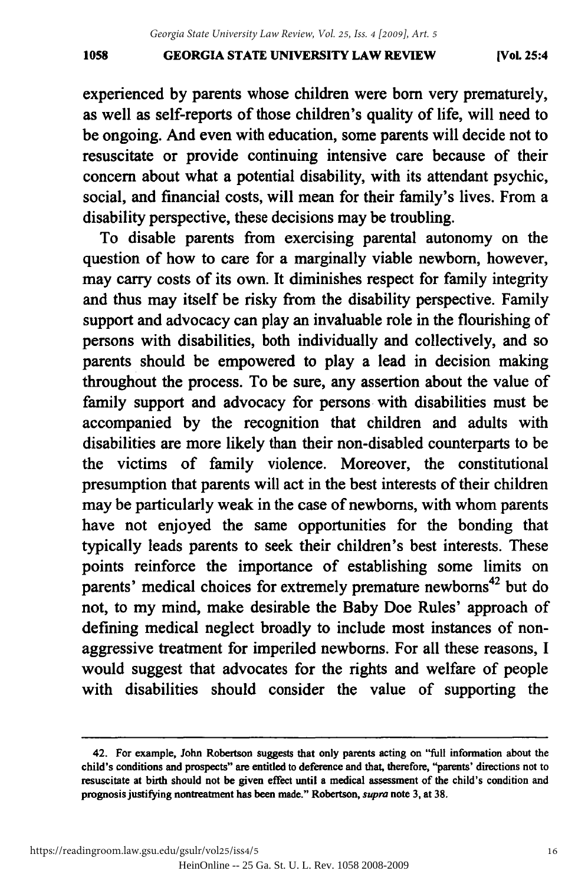#### **GEORGIA STATE UNIVERSITY LAW REVIEW 1058 [Vol** 25:4 1058 GEORGIA STATE UNIVERSITY LAW REVIEW (VoL 25:4

experienced **by** parents whose children were born very prematurely, experienced by parents whose children were born very prematurely, as well as self-reports of those children's quality of life, will need to be ongoing. And even with education, some parents will decide not to resuscitate or provide continuing intensive care because of their resuscitate or provide continuing intensive care because of their concern about what a potential disability, with its attendant psychic, concern about what a potential disability, with its attendant psychic, social, and financial costs, will mean for their family's lives. From a disability perspective, these decisions may be troubling. disability perspective, these decisions may be troubling.

To disable parents from exercising parental autonomy on the To disable parents from exercising parental autonomy on the question of how to care for a marginally viable newborn, however, question of how to care for a newborn, however, may carry costs of its own. It diminishes respect for family integrity may carry costs of its own. It diminishes respect for family integrity and thus may itself be risky from the disability perspective. Family support and advocacy can play an invaluable role in the flourishing of support and advocacy can play an invaluable role in the flourishing of persons with disabilities, both individually and collectively, and so parents should be empowered to play a lead in decision making throughout the process. To be sure, any assertion about the value of family support and advocacy for persons with disabilities must be family support and advocacy for persons· with disabilities must be accompanied **by** the recognition that children and adults with accompanied by the recognition that children and adults with disabilities are more likely than their non-disabled counterparts to be disabilities are more likely than their non-disabled counterparts to be the victims of family violence. Moreover, the constitutional the victims of family violence. Moreover, the constitutional presumption that parents will act in the best interests of their children presumption that parents will act in the best interests of their children may be particularly weak in the case of newborns, with whom parents may be particularly weak in the case of newborns, with whom parents have not enjoyed the same opportunities for the bonding that have not enjoyed the same opportunities for the bonding that typically leads parents to seek their children's best interests. These points reinforce the importance of establishing some limits on points reinforce the importance of establishing some limits on parents' medical choices for extremely premature newborns<sup>42</sup> but do not, to my mind, make desirable the Baby Doe Rules' approach of defining medical neglect broadly to include most instances of non-defming medical neglect broadly to include most instances of nonaggressive treatment for imperiled newborns. For all these reasons, **I** aggressive treatment imperiled newborns. For all these reasons, I would suggest that advocates for the rights and welfare of people would suggest that advocates for the rights and welfare of people with disabilities should consider the value of supporting the

<sup>42.</sup> For example, John Robertson suggests that only parents acting on "full information about the 42. For example, 10hn Robertson suggests that only parents acting on ''full information about the child's conditions and prospects" **are** entitled to deference and that, therefore, "parents' directions not to child's conditions and prospects" are entitled to deference and that, therefore, "parents' directions not to resuscitate at birth should not be given effect until a medical assessment of the child's condition and resuscitate at birth should not be given effect until a medical assessment of the child's condition and prognosis justifying nontreatment has been made." Robertson, *supra* note **3,** at **38.** prognosis justifying nontreatment has been made." Robertson, *supra* note 3, at 38.